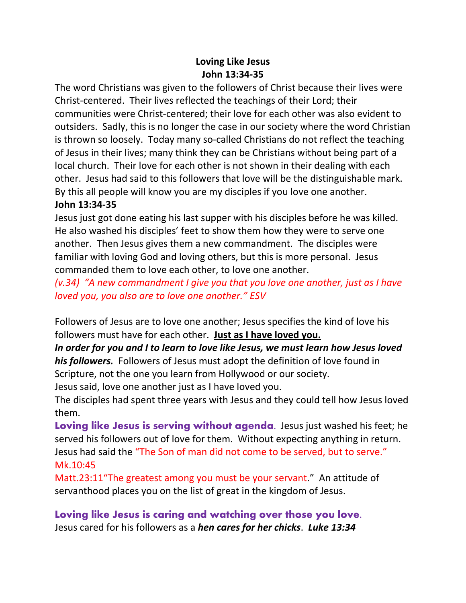## **Loving Like Jesus John 13:34-35**

The word Christians was given to the followers of Christ because their lives were Christ-centered. Their lives reflected the teachings of their Lord; their communities were Christ-centered; their love for each other was also evident to outsiders. Sadly, this is no longer the case in our society where the word Christian is thrown so loosely. Today many so-called Christians do not reflect the teaching of Jesus in their lives; many think they can be Christians without being part of a local church. Their love for each other is not shown in their dealing with each other. Jesus had said to this followers that love will be the distinguishable mark. By this all people will know you are my disciples if you love one another. **John 13:34-35**

Jesus just got done eating his last supper with his disciples before he was killed. He also washed his disciples' feet to show them how they were to serve one another. Then Jesus gives them a new commandment. The disciples were familiar with loving God and loving others, but this is more personal. Jesus commanded them to love each other, to love one another.

*(v.34) "A new commandment I give you that you love one another, just as I have loved you, you also are to love one another." ESV*

Followers of Jesus are to love one another; Jesus specifies the kind of love his followers must have for each other. **Just as I have loved you.**

*In order for you and I to learn to love like Jesus, we must learn how Jesus loved his followers.* Followers of Jesus must adopt the definition of love found in Scripture, not the one you learn from Hollywood or our society.

Jesus said, love one another just as I have loved you.

The disciples had spent three years with Jesus and they could tell how Jesus loved them.

**Loving like Jesus is serving without agenda.** Jesus just washed his feet; he served his followers out of love for them. Without expecting anything in return. Jesus had said the "The Son of man did not come to be served, but to serve." Mk.10:45

Matt.23:11"The greatest among you must be your servant." An attitude of servanthood places you on the list of great in the kingdom of Jesus.

**Loving like Jesus is caring and watching over those you love.** Jesus cared for his followers as a *hen cares for her chicks*. *Luke 13:34*